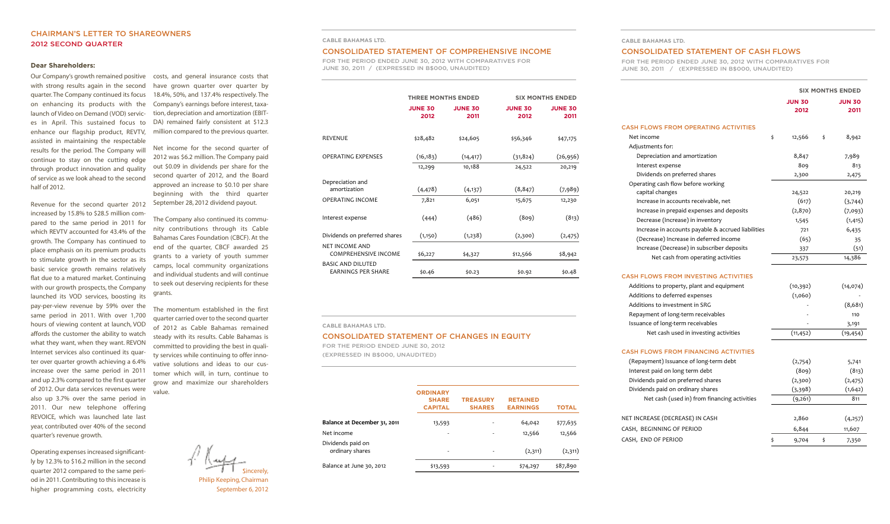# **CHAIRMAN'S LETTER TO SHAREOWNERS 2012 SECOND QUARTER**

### **Dear Shareholders:**

Our Company's growth remained positive with strong results again in the second quarter.The Company continued its focus on enhancing its products with the launch of Video on Demand (VOD) services in April. This sustained focus to enhance our flagship product, REVTV, assisted in maintaining the respectable results for the period. The Company will continue to stay on the cutting edge through product innovation and quality of service as we look ahead to the second half of 2012.

Revenue for the second quarter 2012 increased by 15.8% to \$28.5 million compared to the same period in 2011 for which REVTV accounted for 43.4% of the growth. The Company has continued to place emphasis on its premium products to stimulate growth in the sector as its basic service growth remains relatively flat due to a matured market. Continuing with our growth prospects, the Company launched its VOD services, boosting its pay-per-view revenue by 59% over the same period in 2011. With over 1,700 hours of viewing content at launch, VOD affords the customer the ability to watch what they want, when they want. REVON Internet services also continued its quarter over quarter growth achieving a 6.4% increase over the same period in 2011 and up 2.3% compared to the first quarter of 2012. Our data services revenues were also up 3.7% over the same period in 2011. Our new telephone offering REVOICE, which was launched late last year, contributed over 40% of the second quarter's revenue growth.

Operating expensesincreased significantly by 12.3% to \$16.2 million in the second quarter 2012 compared to the same period in 2011.Contributing to this increase is higher programming costs, electricity

costs, and general insurance costs that have grown quarter over quarter by 18.4%, 50%, and 137.4% respectively. The Company's earnings before interest, taxation, depreciation and amortization (EBIT-DA) remained fairly consistent at \$12.3 million compared to the previous quarter.

Net income for the second quarter of 2012 was \$6.2 million. The Company paid out \$0.09 in dividends per share for the second quarter of 2012, and the Board approved an increase to \$0.10 per share beginning with the third quarter September 28, 2012 dividend payout.

The Company also continued its community contributions through its Cable Bahamas Cares Foundation (CBCF). At the end of the quarter, CBCF awarded 25 grants to a variety of youth summer camps, local community organizations and individual students and will continue to seek out deserving recipients for these grants.

The momentum established in the first quarter carried over to the second quarter of 2012 as Cable Bahamas remained steady with its results. Cable Bahamas is committed to providing the best in quality services while continuing to offer innovative solutions and ideas to our customer which will, in turn, continue to grow and maximize our shareholders value.

> Sincerely, Philip Keeping, Chairman

# September 6, 2012

#### **CABLE BAHAMAS LTD.**

### **CONSOLIDATED STATEMENT OF COMPREHENSIVE INCOME**

**FOR THE PERIOD ENDED JUNE 30, 2012 WITH COMPARATIVES FOR JUNE 30, 2011 / (EXPRESSED IN B\$000, UNAUDITED)**

|                                                       | <b>THREE MONTHS ENDED</b> |                        |                        | <b>SIX MONTHS ENDED</b> |  |
|-------------------------------------------------------|---------------------------|------------------------|------------------------|-------------------------|--|
|                                                       | <b>JUNE 30</b><br>2012    | <b>JUNE 30</b><br>2011 | <b>JUNE 30</b><br>2012 | <b>JUNE 30</b><br>2011  |  |
| <b>REVENUE</b>                                        | \$28,482                  | \$24,605               | \$56,346               | \$47,175                |  |
| <b>OPERATING EXPENSES</b>                             | (16, 183)                 | (14, 417)              | (31, 824)              | (26, 956)               |  |
|                                                       | 12,299                    | 10,188                 | 24,522                 | 20,219                  |  |
| Depreciation and<br>amortization                      | (4, 478)                  | (4, 137)               | (8, 847)               | (7,989)                 |  |
| <b>OPERATING INCOME</b>                               | 7,821                     | 6,051                  | 15,675                 | 12,230                  |  |
| Interest expense                                      | (444)                     | (486)                  | (809)                  | (813)                   |  |
| Dividends on preferred shares                         | (1,150)                   | (1,238)                | (2,300)                | (2, 475)                |  |
| <b>NET INCOME AND</b><br><b>COMPREHENSIVE INCOME</b>  | \$6,227                   | \$4,327                | \$12,566               | \$8,942                 |  |
| <b>BASIC AND DILUTED</b><br><b>EARNINGS PER SHARE</b> | \$0.46                    | \$0.23                 | \$0.92                 | \$0.48                  |  |

# **CABLE BAHAMAS LTD.**

# **CONSOLIDATED STATEMENT OF CHANGES IN EQUITY**

**FOR THE PERIOD ENDED JUNE 30, 2012 (EXPRESSED IN B\$000, UNAUDITED)**

|                                      | <b>ORDINARY</b><br><b>SHARE</b><br><b>CAPITAL</b> | <b>TREASURY</b><br><b>SHARES</b> | <b>RETAINED</b><br><b>EARNINGS</b> | <b>TOTAL</b> |
|--------------------------------------|---------------------------------------------------|----------------------------------|------------------------------------|--------------|
| Balance at December 31, 2011         | 13,593                                            |                                  | 64,042                             | \$77,635     |
| Net income                           | ٠                                                 |                                  | 12,566                             | 12,566       |
| Dividends paid on<br>ordinary shares | ٠                                                 |                                  | (2,311)                            | (2,311)      |
| Balance at June 30, 2012             | \$13,593                                          |                                  | \$74,297                           | \$87,890     |
|                                      |                                                   |                                  |                                    |              |

# **CABLE BAHAMAS LTD.**

#### **CONSOLIDATED STATEMENT OF CASH FLOWS**

**FOR THE PERIOD ENDED JUNE 30, 2012 WITH COMPARATIVES FOR JUNE 30, 2011 / (EXPRESSED IN B\$000, UNAUDITED)**

|                                                    | <b>SIX MONTHS ENDED</b> |                       |    |                       |
|----------------------------------------------------|-------------------------|-----------------------|----|-----------------------|
|                                                    |                         | <b>JUN 30</b><br>2012 |    | <b>JUN 30</b><br>2011 |
| <b>CASH FLOWS FROM OPERATING ACTIVITIES</b>        |                         |                       |    |                       |
| Net income                                         | \$                      | 12,566                | \$ | 8,942                 |
| Adjustments for:                                   |                         |                       |    |                       |
| Depreciation and amortization                      |                         | 8,847                 |    | 7,989                 |
| Interest expense                                   |                         | 809                   |    | 813                   |
| Dividends on preferred shares                      |                         | 2,300                 |    | 2,475                 |
| Operating cash flow before working                 |                         |                       |    |                       |
| capital changes                                    |                         | 24,522                |    | 20,219                |
| Increase in accounts receivable, net               |                         | (617)                 |    | (3,744)               |
| Increase in prepaid expenses and deposits          |                         | (2,870)               |    | (7,093)               |
| Decrease (Increase) in inventory                   |                         | 1,545                 |    | (1, 415)              |
| Increase in accounts payable & accrued liabilities |                         | 721                   |    | 6,435                 |
| (Decrease) Increase in deferred income             |                         | (65)                  |    | 35                    |
| Increase (Decrease) in subscriber deposits         |                         | 337                   |    | (51)                  |
| Net cash from operating activities                 |                         | 23,573                |    | 14,386                |
| <b>CASH FLOWS FROM INVESTING ACTIVITIES</b>        |                         |                       |    |                       |
| Additions to property, plant and equipment         |                         | (10, 392)             |    | (14, 074)             |
| Additions to deferred expenses                     |                         | (1,060)               |    |                       |
| Additions to investment in SRG                     |                         |                       |    | (8,681)               |
| Repayment of long-term receivables                 |                         |                       |    | 110                   |
| Issuance of long-term receivables                  |                         |                       |    | 3,191                 |
| Net cash used in investing activities              |                         | (11, 452)             |    | (19, 454)             |
| <b>CASH FLOWS FROM FINANCING ACTIVITIES</b>        |                         |                       |    |                       |
| (Repayment) Issuance of long-term debt             |                         | (2,754)               |    | 5,741                 |
| Interest paid on long term debt                    |                         | (809)                 |    | (813)                 |
| Dividends paid on preferred shares                 |                         | (2,300)               |    | (2, 475)              |
| Dividends paid on ordinary shares                  |                         | (3,398)               |    | (1,642)               |
| Net cash (used in) from financing activities       |                         | (9,261)               |    | 811                   |
| NET INCREASE (DECREASE) IN CASH                    |                         | 2,860                 |    | (4,257)               |
| CASH, BEGINNING OF PERIOD                          |                         | 6,844                 |    | 11,607                |
|                                                    |                         |                       |    |                       |
| CASH, END OF PERIOD                                | \$                      | 9,704                 | \$ | 7,350                 |